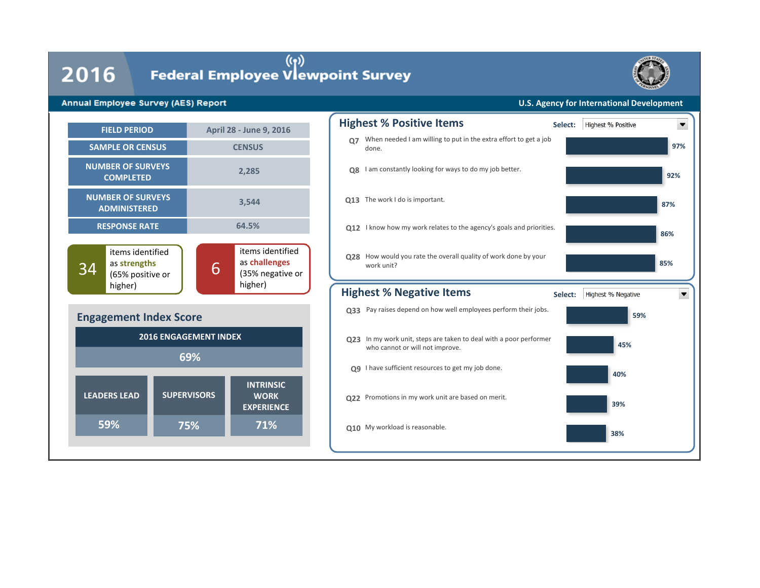**59%**

# $2016$  Federal Employee Vlewpoint Survey



### **Annual Employee Survey (AES) Report**

### **U.S. Agency for International Development**



**75%**

**71%**

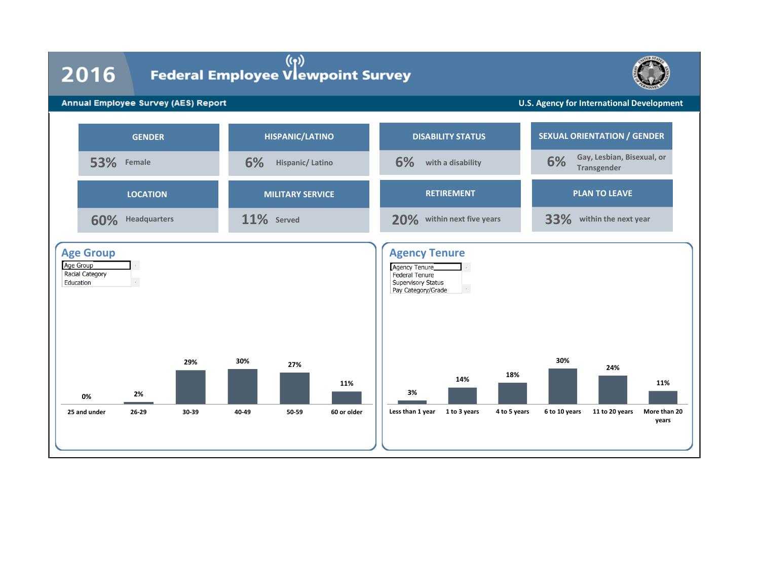### 2016

# (۱))<br>Federal Employee Vlewpoint Survey



### Annual Employee Survey (AES) Report

**U.S. Agency for International Development**

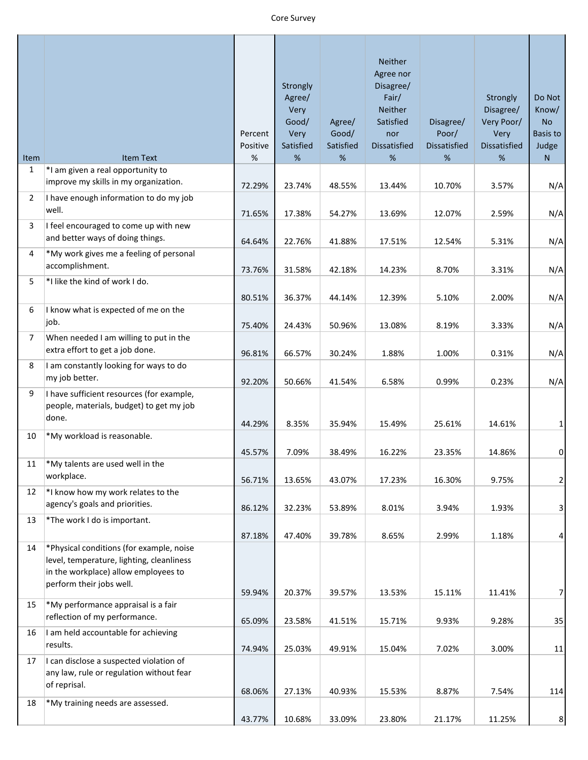### Core Survey

|                      |                                                                                                                                                           | Percent<br>Positive | Strongly<br>Agree/<br>Very<br>Good/<br>Very<br>Satisfied | Agree/<br>Good/<br>Satisfied | Neither<br>Agree nor<br>Disagree/<br>Fair/<br>Neither<br>Satisfied<br>nor<br><b>Dissatisfied</b> | Disagree/<br>Poor/<br><b>Dissatisfied</b> | Strongly<br>Disagree/<br>Very Poor/<br>Very<br><b>Dissatisfied</b> | Do Not<br>Know/<br><b>No</b><br>Basis to<br>Judge |
|----------------------|-----------------------------------------------------------------------------------------------------------------------------------------------------------|---------------------|----------------------------------------------------------|------------------------------|--------------------------------------------------------------------------------------------------|-------------------------------------------|--------------------------------------------------------------------|---------------------------------------------------|
| Item<br>$\mathbf{1}$ | <b>Item Text</b>                                                                                                                                          | $\%$                | $\%$                                                     | %                            | %                                                                                                | %                                         | %                                                                  | ${\sf N}$                                         |
|                      | *I am given a real opportunity to<br>improve my skills in my organization.                                                                                |                     |                                                          |                              |                                                                                                  |                                           |                                                                    |                                                   |
| $\overline{2}$       | I have enough information to do my job                                                                                                                    | 72.29%              | 23.74%                                                   | 48.55%                       | 13.44%                                                                                           | 10.70%                                    | 3.57%                                                              | N/A                                               |
|                      | well.                                                                                                                                                     | 71.65%              | 17.38%                                                   | 54.27%                       | 13.69%                                                                                           | 12.07%                                    |                                                                    |                                                   |
| 3                    | I feel encouraged to come up with new                                                                                                                     |                     |                                                          |                              |                                                                                                  |                                           | 2.59%                                                              | N/A                                               |
|                      | and better ways of doing things.                                                                                                                          | 64.64%              | 22.76%                                                   | 41.88%                       | 17.51%                                                                                           | 12.54%                                    | 5.31%                                                              | N/A                                               |
| 4                    | *My work gives me a feeling of personal                                                                                                                   |                     |                                                          |                              |                                                                                                  |                                           |                                                                    |                                                   |
|                      | accomplishment.                                                                                                                                           | 73.76%              | 31.58%                                                   | 42.18%                       | 14.23%                                                                                           | 8.70%                                     | 3.31%                                                              | N/A                                               |
| 5                    | *I like the kind of work I do.                                                                                                                            |                     |                                                          |                              |                                                                                                  |                                           |                                                                    |                                                   |
|                      |                                                                                                                                                           | 80.51%              | 36.37%                                                   | 44.14%                       | 12.39%                                                                                           | 5.10%                                     | 2.00%                                                              | N/A                                               |
| 6                    | I know what is expected of me on the                                                                                                                      |                     |                                                          |                              |                                                                                                  |                                           |                                                                    |                                                   |
|                      | job.                                                                                                                                                      | 75.40%              | 24.43%                                                   | 50.96%                       | 13.08%                                                                                           | 8.19%                                     | 3.33%                                                              | N/A                                               |
| 7                    | When needed I am willing to put in the                                                                                                                    |                     |                                                          |                              |                                                                                                  |                                           |                                                                    |                                                   |
|                      | extra effort to get a job done.                                                                                                                           | 96.81%              | 66.57%                                                   | 30.24%                       | 1.88%                                                                                            | 1.00%                                     | 0.31%                                                              | N/A                                               |
| 8                    | I am constantly looking for ways to do<br>my job better.                                                                                                  | 92.20%              | 50.66%                                                   | 41.54%                       | 6.58%                                                                                            | 0.99%                                     | 0.23%                                                              | N/A                                               |
| 9                    | I have sufficient resources (for example,<br>people, materials, budget) to get my job<br>done.                                                            | 44.29%              | 8.35%                                                    | 35.94%                       | 15.49%                                                                                           | 25.61%                                    | 14.61%                                                             | $\mathbf 1$                                       |
| 10                   | *My workload is reasonable.                                                                                                                               |                     |                                                          |                              |                                                                                                  |                                           |                                                                    |                                                   |
|                      |                                                                                                                                                           | 45.57%              | 7.09%                                                    | 38.49%                       | 16.22%                                                                                           | 23.35%                                    | 14.86%                                                             | $\pmb{0}$                                         |
| 11                   | *My talents are used well in the<br>workplace.                                                                                                            | 56.71%              | 13.65%                                                   | 43.07%                       | 17.23%                                                                                           | 16.30%                                    | 9.75%                                                              | $\mathbf 2$                                       |
| 12                   | *I know how my work relates to the                                                                                                                        |                     |                                                          |                              |                                                                                                  |                                           |                                                                    |                                                   |
|                      | agency's goals and priorities.                                                                                                                            | 86.12%              | 32.23%                                                   | 53.89%                       | 8.01%                                                                                            | 3.94%                                     | 1.93%                                                              | $\mathsf 3$                                       |
| 13                   | *The work I do is important.                                                                                                                              |                     |                                                          |                              |                                                                                                  |                                           |                                                                    |                                                   |
|                      |                                                                                                                                                           | 87.18%              | 47.40%                                                   | 39.78%                       | 8.65%                                                                                            | 2.99%                                     | 1.18%                                                              | $\overline{\mathbf{r}}$                           |
| 14                   | *Physical conditions (for example, noise<br>level, temperature, lighting, cleanliness<br>in the workplace) allow employees to<br>perform their jobs well. |                     |                                                          |                              |                                                                                                  |                                           |                                                                    |                                                   |
|                      | *My performance appraisal is a fair                                                                                                                       | 59.94%              | 20.37%                                                   | 39.57%                       | 13.53%                                                                                           | 15.11%                                    | 11.41%                                                             | $\boldsymbol{7}$                                  |
| 15                   | reflection of my performance.                                                                                                                             | 65.09%              | 23.58%                                                   | 41.51%                       | 15.71%                                                                                           | 9.93%                                     | 9.28%                                                              | 35                                                |
| 16                   | I am held accountable for achieving                                                                                                                       |                     |                                                          |                              |                                                                                                  |                                           |                                                                    |                                                   |
|                      | results.                                                                                                                                                  | 74.94%              | 25.03%                                                   | 49.91%                       | 15.04%                                                                                           | 7.02%                                     | 3.00%                                                              | $11\,$                                            |
| 17                   | I can disclose a suspected violation of<br>any law, rule or regulation without fear<br>of reprisal.                                                       |                     |                                                          |                              |                                                                                                  |                                           |                                                                    |                                                   |
|                      |                                                                                                                                                           | 68.06%              | 27.13%                                                   | 40.93%                       | 15.53%                                                                                           | 8.87%                                     | 7.54%                                                              | 114                                               |
| 18                   | *My training needs are assessed.                                                                                                                          | 43.77%              | 10.68%                                                   | 33.09%                       | 23.80%                                                                                           | 21.17%                                    | 11.25%                                                             | $\,8\,$                                           |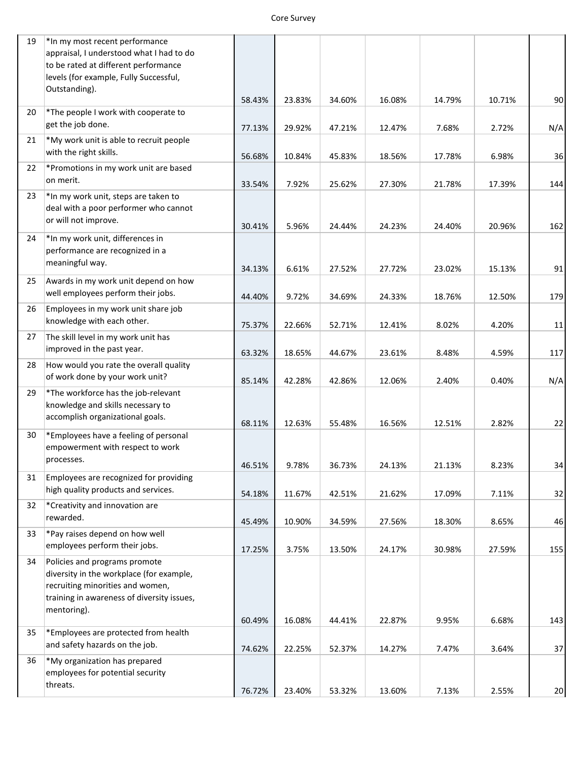| 19 | *In my most recent performance<br>appraisal, I understood what I had to do<br>to be rated at different performance<br>levels (for example, Fully Successful,               |        |        |        |        |        |        |        |
|----|----------------------------------------------------------------------------------------------------------------------------------------------------------------------------|--------|--------|--------|--------|--------|--------|--------|
|    | Outstanding).                                                                                                                                                              | 58.43% | 23.83% | 34.60% | 16.08% | 14.79% | 10.71% | 90     |
| 20 | *The people I work with cooperate to<br>get the job done.                                                                                                                  | 77.13% | 29.92% | 47.21% | 12.47% | 7.68%  | 2.72%  | N/A    |
| 21 | *My work unit is able to recruit people<br>with the right skills.                                                                                                          | 56.68% | 10.84% | 45.83% | 18.56% | 17.78% | 6.98%  | 36     |
| 22 | *Promotions in my work unit are based<br>on merit.                                                                                                                         | 33.54% | 7.92%  | 25.62% | 27.30% | 21.78% | 17.39% | 144    |
| 23 | *In my work unit, steps are taken to<br>deal with a poor performer who cannot<br>or will not improve.                                                                      | 30.41% | 5.96%  | 24.44% | 24.23% | 24.40% | 20.96% | 162    |
| 24 | *In my work unit, differences in<br>performance are recognized in a<br>meaningful way.                                                                                     | 34.13% | 6.61%  | 27.52% | 27.72% | 23.02% | 15.13% | 91     |
| 25 | Awards in my work unit depend on how<br>well employees perform their jobs.                                                                                                 | 44.40% | 9.72%  | 34.69% | 24.33% | 18.76% | 12.50% | 179    |
| 26 | Employees in my work unit share job<br>knowledge with each other.                                                                                                          | 75.37% | 22.66% | 52.71% | 12.41% | 8.02%  | 4.20%  | $11\,$ |
| 27 | The skill level in my work unit has<br>improved in the past year.                                                                                                          | 63.32% | 18.65% | 44.67% | 23.61% | 8.48%  | 4.59%  | 117    |
| 28 | How would you rate the overall quality<br>of work done by your work unit?                                                                                                  | 85.14% | 42.28% | 42.86% | 12.06% | 2.40%  | 0.40%  | N/A    |
| 29 | *The workforce has the job-relevant<br>knowledge and skills necessary to<br>accomplish organizational goals.                                                               | 68.11% | 12.63% | 55.48% | 16.56% | 12.51% | 2.82%  | 22     |
| 30 | *Employees have a feeling of personal<br>empowerment with respect to work<br>processes.                                                                                    | 46.51% | 9.78%  | 36.73% | 24.13% | 21.13% | 8.23%  | 34     |
| 31 | Employees are recognized for providing<br>high quality products and services.                                                                                              | 54.18% | 11.67% | 42.51% | 21.62% | 17.09% | 7.11%  | 32     |
| 32 | *Creativity and innovation are<br>rewarded.                                                                                                                                | 45.49% | 10.90% | 34.59% | 27.56% | 18.30% | 8.65%  | 46     |
| 33 | *Pay raises depend on how well<br>employees perform their jobs.                                                                                                            | 17.25% | 3.75%  | 13.50% | 24.17% | 30.98% | 27.59% | 155    |
| 34 | Policies and programs promote<br>diversity in the workplace (for example,<br>recruiting minorities and women,<br>training in awareness of diversity issues,<br>mentoring). | 60.49% | 16.08% | 44.41% | 22.87% | 9.95%  | 6.68%  | 143    |
| 35 | *Employees are protected from health<br>and safety hazards on the job.                                                                                                     | 74.62% | 22.25% | 52.37% | 14.27% | 7.47%  | 3.64%  | 37     |
| 36 | *My organization has prepared<br>employees for potential security<br>threats.                                                                                              | 76.72% | 23.40% | 53.32% | 13.60% | 7.13%  | 2.55%  | 20     |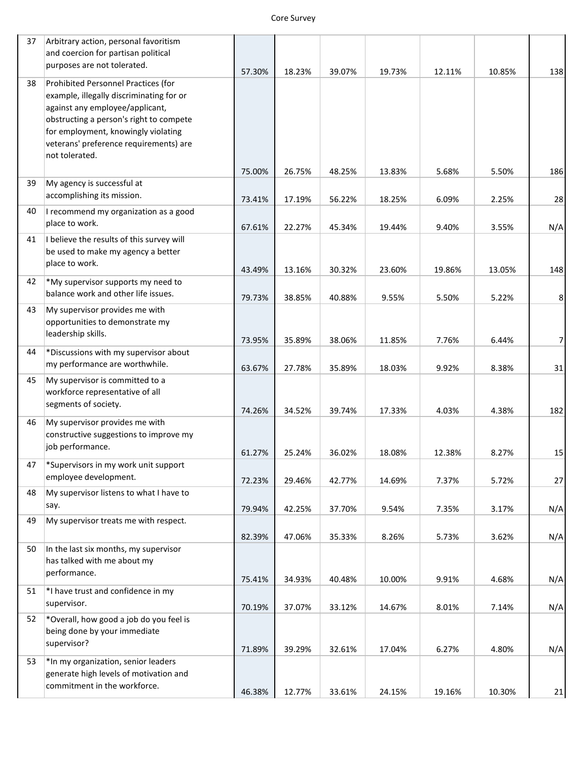### Core Survey

| 37 | Arbitrary action, personal favoritism                                                                                                                                                                |        |        |        |        |        |        |                  |
|----|------------------------------------------------------------------------------------------------------------------------------------------------------------------------------------------------------|--------|--------|--------|--------|--------|--------|------------------|
|    | and coercion for partisan political                                                                                                                                                                  |        |        |        |        |        |        |                  |
|    | purposes are not tolerated.                                                                                                                                                                          | 57.30% | 18.23% | 39.07% | 19.73% | 12.11% | 10.85% | 138              |
| 38 | Prohibited Personnel Practices (for<br>example, illegally discriminating for or<br>against any employee/applicant,<br>obstructing a person's right to compete<br>for employment, knowingly violating |        |        |        |        |        |        |                  |
|    | veterans' preference requirements) are                                                                                                                                                               |        |        |        |        |        |        |                  |
|    | not tolerated.                                                                                                                                                                                       | 75.00% | 26.75% | 48.25% | 13.83% | 5.68%  | 5.50%  | 186              |
| 39 | My agency is successful at<br>accomplishing its mission.                                                                                                                                             | 73.41% | 17.19% | 56.22% | 18.25% | 6.09%  | 2.25%  | 28               |
| 40 | I recommend my organization as a good<br>place to work.                                                                                                                                              | 67.61% | 22.27% | 45.34% | 19.44% | 9.40%  | 3.55%  | N/A              |
| 41 | I believe the results of this survey will<br>be used to make my agency a better<br>place to work.                                                                                                    | 43.49% | 13.16% | 30.32% | 23.60% | 19.86% | 13.05% | 148              |
| 42 | *My supervisor supports my need to<br>balance work and other life issues.                                                                                                                            | 79.73% | 38.85% | 40.88% | 9.55%  | 5.50%  | 5.22%  | $\,8\,$          |
| 43 | My supervisor provides me with<br>opportunities to demonstrate my<br>leadership skills.                                                                                                              | 73.95% | 35.89% | 38.06% | 11.85% | 7.76%  | 6.44%  | $\boldsymbol{7}$ |
| 44 | *Discussions with my supervisor about<br>my performance are worthwhile.                                                                                                                              | 63.67% | 27.78% | 35.89% | 18.03% | 9.92%  | 8.38%  | 31               |
| 45 | My supervisor is committed to a<br>workforce representative of all<br>segments of society.                                                                                                           | 74.26% | 34.52% | 39.74% | 17.33% | 4.03%  | 4.38%  | 182              |
| 46 | My supervisor provides me with<br>constructive suggestions to improve my<br>job performance.                                                                                                         | 61.27% | 25.24% | 36.02% | 18.08% | 12.38% | 8.27%  | 15               |
| 47 | *Supervisors in my work unit support<br>employee development.                                                                                                                                        | 72.23% | 29.46% | 42.77% | 14.69% | 7.37%  | 5.72%  | 27               |
| 48 | My supervisor listens to what I have to<br>say.                                                                                                                                                      | 79.94% | 42.25% | 37.70% | 9.54%  | 7.35%  | 3.17%  | N/A              |
| 49 | My supervisor treats me with respect.                                                                                                                                                                | 82.39% | 47.06% | 35.33% | 8.26%  | 5.73%  | 3.62%  | N/A              |
| 50 | In the last six months, my supervisor<br>has talked with me about my<br>performance.                                                                                                                 | 75.41% | 34.93% | 40.48% | 10.00% | 9.91%  | 4.68%  | N/A              |
| 51 | *I have trust and confidence in my<br>supervisor.                                                                                                                                                    | 70.19% | 37.07% | 33.12% | 14.67% | 8.01%  | 7.14%  | N/A              |
| 52 | *Overall, how good a job do you feel is<br>being done by your immediate<br>supervisor?                                                                                                               | 71.89% | 39.29% | 32.61% | 17.04% | 6.27%  | 4.80%  | N/A              |
| 53 | *In my organization, senior leaders<br>generate high levels of motivation and<br>commitment in the workforce.                                                                                        |        |        |        |        |        |        |                  |
|    |                                                                                                                                                                                                      | 46.38% | 12.77% | 33.61% | 24.15% | 19.16% | 10.30% | $21\,$           |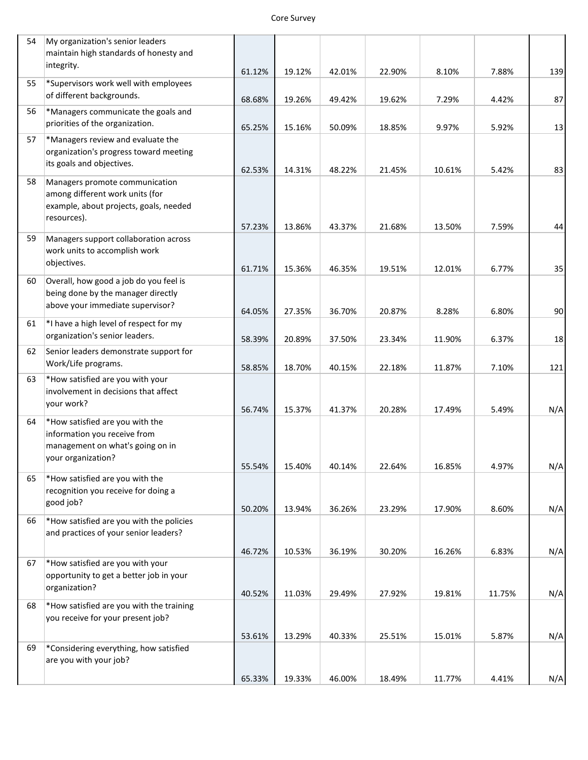| Core Survey |
|-------------|
|             |

| 54 | My organization's senior leaders<br>maintain high standards of honesty and                                                 |                  |                  |                  |                  |                  |                |            |
|----|----------------------------------------------------------------------------------------------------------------------------|------------------|------------------|------------------|------------------|------------------|----------------|------------|
|    | integrity.                                                                                                                 | 61.12%           | 19.12%           | 42.01%           | 22.90%           | 8.10%            | 7.88%          | 139        |
| 55 | *Supervisors work well with employees<br>of different backgrounds.                                                         | 68.68%           | 19.26%           | 49.42%           | 19.62%           | 7.29%            | 4.42%          | 87         |
| 56 | *Managers communicate the goals and<br>priorities of the organization.                                                     | 65.25%           | 15.16%           | 50.09%           | 18.85%           | 9.97%            | 5.92%          | 13         |
| 57 | *Managers review and evaluate the<br>organization's progress toward meeting<br>its goals and objectives.                   | 62.53%           | 14.31%           | 48.22%           | 21.45%           | 10.61%           | 5.42%          | 83         |
| 58 | Managers promote communication<br>among different work units (for<br>example, about projects, goals, needed<br>resources). | 57.23%           | 13.86%           | 43.37%           | 21.68%           | 13.50%           | 7.59%          | 44         |
| 59 | Managers support collaboration across<br>work units to accomplish work<br>objectives.                                      | 61.71%           | 15.36%           | 46.35%           | 19.51%           | 12.01%           | 6.77%          | 35         |
| 60 | Overall, how good a job do you feel is<br>being done by the manager directly<br>above your immediate supervisor?           | 64.05%           | 27.35%           | 36.70%           | 20.87%           | 8.28%            | 6.80%          | 90         |
| 61 | *I have a high level of respect for my<br>organization's senior leaders.                                                   | 58.39%           | 20.89%           | 37.50%           | 23.34%           | 11.90%           | 6.37%          | 18         |
| 62 | Senior leaders demonstrate support for<br>Work/Life programs.                                                              | 58.85%           | 18.70%           | 40.15%           | 22.18%           | 11.87%           | 7.10%          | 121        |
| 63 | *How satisfied are you with your<br>involvement in decisions that affect<br>your work?                                     |                  |                  |                  |                  |                  |                |            |
| 64 | *How satisfied are you with the<br>information you receive from<br>management on what's going on in<br>your organization?  | 56.74%<br>55.54% | 15.37%<br>15.40% | 41.37%<br>40.14% | 20.28%<br>22.64% | 17.49%<br>16.85% | 5.49%<br>4.97% | N/A<br>N/A |
| 65 | *How satisfied are you with the<br>recognition you receive for doing a<br>good job?                                        | 50.20%           | 13.94%           | 36.26%           | 23.29%           | 17.90%           | 8.60%          | N/A        |
| 66 | *How satisfied are you with the policies<br>and practices of your senior leaders?                                          | 46.72%           | 10.53%           | 36.19%           | 30.20%           | 16.26%           | 6.83%          | N/A        |
| 67 | *How satisfied are you with your<br>opportunity to get a better job in your<br>organization?                               | 40.52%           | 11.03%           | 29.49%           | 27.92%           | 19.81%           | 11.75%         | N/A        |
| 68 | *How satisfied are you with the training<br>you receive for your present job?                                              | 53.61%           | 13.29%           | 40.33%           | 25.51%           | 15.01%           | 5.87%          | N/A        |
| 69 | *Considering everything, how satisfied<br>are you with your job?                                                           |                  |                  |                  |                  |                  |                |            |
|    |                                                                                                                            | 65.33%           | 19.33%           | 46.00%           | 18.49%           | 11.77%           | 4.41%          | N/A        |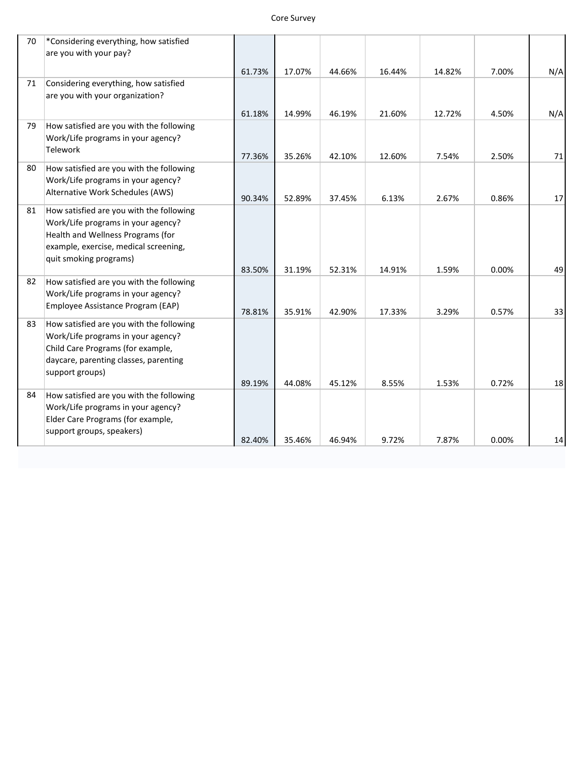### Core Survey

| 70 | *Considering everything, how satisfied                         |        |        |        |        |        |       |        |
|----|----------------------------------------------------------------|--------|--------|--------|--------|--------|-------|--------|
|    | are you with your pay?                                         |        |        |        |        |        |       |        |
|    |                                                                | 61.73% | 17.07% | 44.66% | 16.44% | 14.82% | 7.00% | N/A    |
| 71 | Considering everything, how satisfied                          |        |        |        |        |        |       |        |
|    | are you with your organization?                                |        |        |        |        |        |       |        |
|    |                                                                | 61.18% | 14.99% | 46.19% | 21.60% | 12.72% | 4.50% | N/A    |
| 79 | How satisfied are you with the following                       |        |        |        |        |        |       |        |
|    | Work/Life programs in your agency?                             |        |        |        |        |        |       |        |
|    | <b>Telework</b>                                                | 77.36% | 35.26% | 42.10% | 12.60% | 7.54%  | 2.50% | $71\,$ |
| 80 | How satisfied are you with the following                       |        |        |        |        |        |       |        |
|    | Work/Life programs in your agency?                             |        |        |        |        |        |       |        |
|    | Alternative Work Schedules (AWS)                               | 90.34% | 52.89% | 37.45% | 6.13%  | 2.67%  | 0.86% | 17     |
| 81 | How satisfied are you with the following                       |        |        |        |        |        |       |        |
|    | Work/Life programs in your agency?                             |        |        |        |        |        |       |        |
|    | Health and Wellness Programs (for                              |        |        |        |        |        |       |        |
|    | example, exercise, medical screening,                          |        |        |        |        |        |       |        |
|    | quit smoking programs)                                         | 83.50% | 31.19% | 52.31% | 14.91% | 1.59%  | 0.00% | 49     |
| 82 | How satisfied are you with the following                       |        |        |        |        |        |       |        |
|    | Work/Life programs in your agency?                             |        |        |        |        |        |       |        |
|    | Employee Assistance Program (EAP)                              |        |        |        |        |        |       |        |
| 83 | How satisfied are you with the following                       | 78.81% | 35.91% | 42.90% | 17.33% | 3.29%  | 0.57% | 33     |
|    | Work/Life programs in your agency?                             |        |        |        |        |        |       |        |
|    | Child Care Programs (for example,                              |        |        |        |        |        |       |        |
|    | daycare, parenting classes, parenting                          |        |        |        |        |        |       |        |
|    | support groups)                                                |        |        |        |        |        |       |        |
|    |                                                                | 89.19% | 44.08% | 45.12% | 8.55%  | 1.53%  | 0.72% | 18     |
| 84 | How satisfied are you with the following                       |        |        |        |        |        |       |        |
|    | Work/Life programs in your agency?                             |        |        |        |        |        |       |        |
|    | Elder Care Programs (for example,<br>support groups, speakers) |        |        |        |        |        |       |        |
|    |                                                                | 82.40% | 35.46% | 46.94% | 9.72%  | 7.87%  | 0.00% | 14     |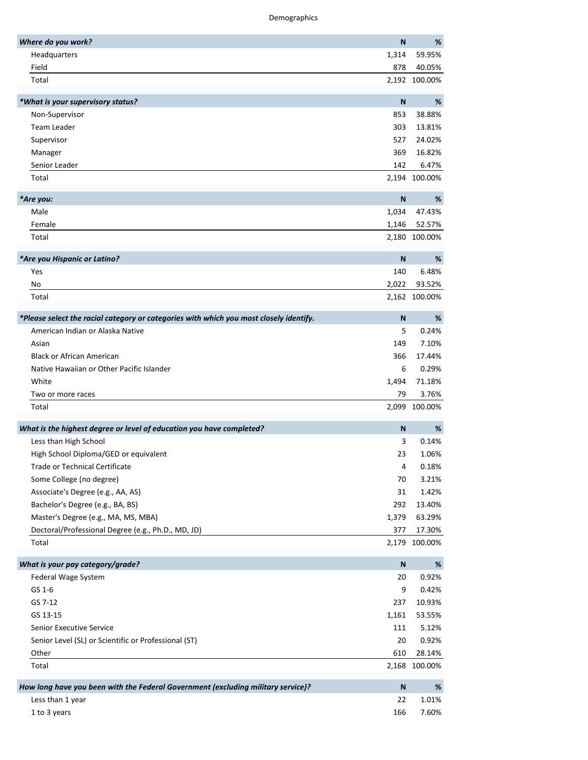Demographics

| Where do you work?                                                                     | N            | %             |
|----------------------------------------------------------------------------------------|--------------|---------------|
| Headquarters                                                                           | 1,314        | 59.95%        |
| Field                                                                                  | 878          | 40.05%        |
| Total                                                                                  |              | 2,192 100.00% |
| *What is your supervisory status?                                                      | $\mathbf N$  | $\%$          |
| Non-Supervisor                                                                         | 853          | 38.88%        |
| <b>Team Leader</b>                                                                     | 303          | 13.81%        |
| Supervisor                                                                             | 527          | 24.02%        |
| Manager                                                                                | 369          | 16.82%        |
| Senior Leader                                                                          | 142          | 6.47%         |
| Total                                                                                  |              | 2,194 100.00% |
| *Are you:                                                                              | $\mathsf{N}$ | %             |
| Male                                                                                   | 1,034        | 47.43%        |
| Female                                                                                 | 1,146        | 52.57%        |
| Total                                                                                  |              | 2,180 100.00% |
| *Are you Hispanic or Latino?                                                           | $\mathsf{N}$ | %             |
| Yes                                                                                    | 140          | 6.48%         |
| No                                                                                     | 2,022        | 93.52%        |
| Total                                                                                  |              | 2,162 100.00% |
|                                                                                        |              |               |
| *Please select the racial category or categories with which you most closely identify. | N            | %             |
| American Indian or Alaska Native                                                       | 5            | 0.24%         |
| Asian                                                                                  | 149          | 7.10%         |
| <b>Black or African American</b>                                                       | 366          | 17.44%        |
| Native Hawaiian or Other Pacific Islander                                              | 6            | 0.29%         |
| White                                                                                  | 1,494        | 71.18%        |
| Two or more races                                                                      | 79           | 3.76%         |
| Total                                                                                  |              | 2,099 100.00% |
| What is the highest degree or level of education you have completed?                   | $\mathsf{N}$ | %             |
| Less than High School                                                                  | 3            | 0.14%         |
| High School Diploma/GED or equivalent                                                  | 23           | 1.06%         |
| Trade or Technical Certificate                                                         | 4            | 0.18%         |
| Some College (no degree)                                                               | 70           | 3.21%         |
| Associate's Degree (e.g., AA, AS)                                                      | 31           | 1.42%         |
| Bachelor's Degree (e.g., BA, BS)                                                       | 292          | 13.40%        |
| Master's Degree (e.g., MA, MS, MBA)                                                    | 1,379        | 63.29%        |
| Doctoral/Professional Degree (e.g., Ph.D., MD, JD)                                     | 377          | 17.30%        |
| Total                                                                                  |              | 2,179 100.00% |
| What is your pay category/grade?                                                       | ${\sf N}$    | $\%$          |
| Federal Wage System                                                                    | 20           | 0.92%         |
| GS 1-6                                                                                 | 9            | 0.42%         |
| GS 7-12                                                                                | 237          | 10.93%        |
| GS 13-15                                                                               | 1,161        | 53.55%        |
| <b>Senior Executive Service</b>                                                        | 111          | 5.12%         |
| Senior Level (SL) or Scientific or Professional (ST)                                   | 20           | 0.92%         |
| Other                                                                                  | 610          | 28.14%        |
| Total                                                                                  |              | 2,168 100.00% |
| How long have you been with the Federal Government (excluding military service)?       | $\mathsf{N}$ | %             |
| Less than 1 year                                                                       | 22           | 1.01%         |
| 1 to 3 years                                                                           | 166          | 7.60%         |
|                                                                                        |              |               |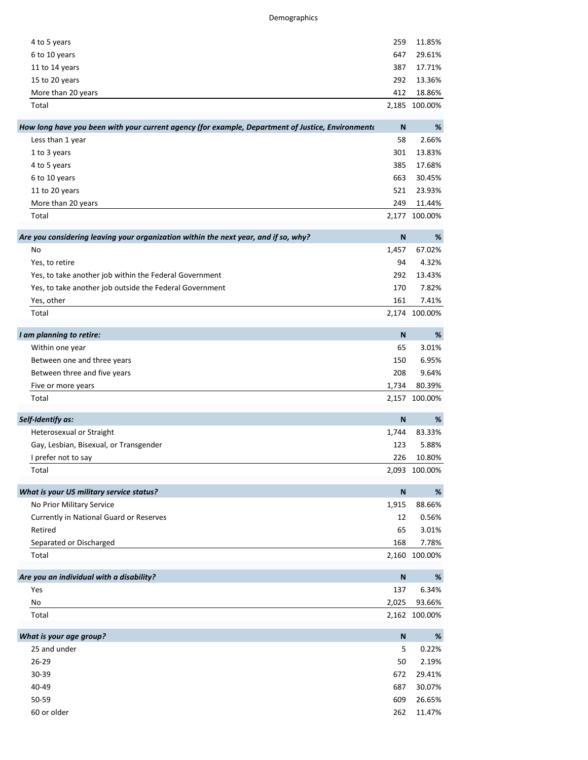| 4 to 5 years                                                                                      | 259          | 11.85%        |
|---------------------------------------------------------------------------------------------------|--------------|---------------|
| 6 to 10 years                                                                                     | 647          | 29.61%        |
| 11 to 14 years                                                                                    | 387          | 17.71%        |
| 15 to 20 years                                                                                    | 292          | 13.36%        |
| More than 20 years                                                                                | 412          | 18.86%        |
| Total                                                                                             |              | 2,185 100.00% |
| How long have you been with your current agency (for example, Department of Justice, Environmento | N            | %             |
| Less than 1 year                                                                                  | 58           | 2.66%         |
| 1 to 3 years                                                                                      | 301          | 13.83%        |
| 4 to 5 years                                                                                      | 385          | 17.68%        |
| 6 to 10 years                                                                                     | 663          | 30.45%        |
| 11 to 20 years                                                                                    | 521          | 23.93%        |
| More than 20 years                                                                                | 249          | 11.44%        |
| Total                                                                                             |              | 2,177 100.00% |
| Are you considering leaving your organization within the next year, and if so, why?               | $\mathbf N$  | %             |
| No                                                                                                | 1,457        | 67.02%        |
| Yes, to retire                                                                                    | 94           | 4.32%         |
| Yes, to take another job within the Federal Government                                            | 292          | 13.43%        |
| Yes, to take another job outside the Federal Government                                           | 170          | 7.82%         |
| Yes, other                                                                                        | 161          | 7.41%         |
| Total                                                                                             |              | 2,174 100.00% |
| I am planning to retire:                                                                          | N            | $\%$          |
| Within one year                                                                                   | 65           | 3.01%         |
| Between one and three years                                                                       | 150          | 6.95%         |
| Between three and five years                                                                      | 208          | 9.64%         |
| Five or more years                                                                                | 1,734        | 80.39%        |
| Total                                                                                             |              | 2,157 100.00% |
| Self-Identify as:                                                                                 | N            | %             |
| Heterosexual or Straight                                                                          | 1,744        | 83.33%        |
| Gay, Lesbian, Bisexual, or Transgender                                                            | 123          | 5.88%         |
| I prefer not to say                                                                               | 226          | 10.80%        |
| Total                                                                                             |              | 2,093 100.00% |
| What is your US military service status?                                                          | $\mathsf{N}$ | %             |
| No Prior Military Service                                                                         | 1,915        | 88.66%        |
| Currently in National Guard or Reserves                                                           | 12           | 0.56%         |
| Retired                                                                                           | 65           | 3.01%         |
| Separated or Discharged                                                                           | 168          | 7.78%         |
| Total                                                                                             |              | 2,160 100.00% |
| Are you an individual with a disability?                                                          | ${\sf N}$    | $\%$          |
| Yes                                                                                               | 137          | 6.34%         |
| No                                                                                                | 2,025        | 93.66%        |
| Total                                                                                             |              | 2,162 100.00% |
| What is your age group?                                                                           | $\mathsf{N}$ | $\%$          |
| 25 and under                                                                                      | 5            | 0.22%         |
| $26 - 29$                                                                                         | 50           | 2.19%         |
| 30-39                                                                                             | 672          | 29.41%        |
| 40-49                                                                                             | 687          | 30.07%        |
| 50-59                                                                                             | 609          | 26.65%        |
| 60 or older                                                                                       | 262          | 11.47%        |